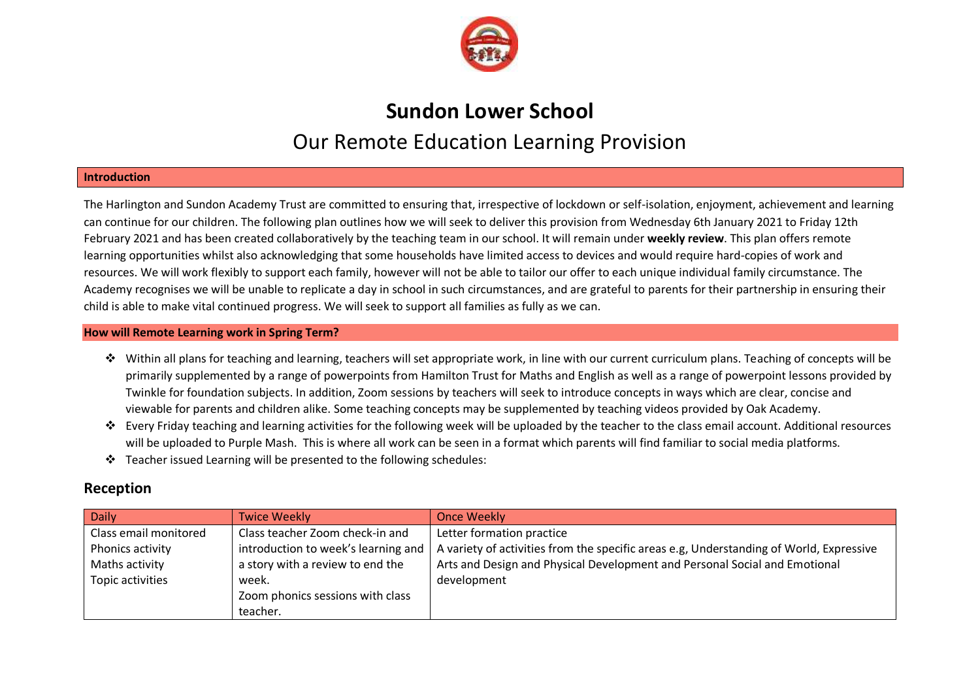

# **Sundon Lower School** Our Remote Education Learning Provision

## **Introduction**

The Harlington and Sundon Academy Trust are committed to ensuring that, irrespective of lockdown or self-isolation, enjoyment, achievement and learning can continue for our children. The following plan outlines how we will seek to deliver this provision from Wednesday 6th January 2021 to Friday 12th February 2021 and has been created collaboratively by the teaching team in our school. It will remain under **weekly review**. This plan offers remote learning opportunities whilst also acknowledging that some households have limited access to devices and would require hard-copies of work and resources. We will work flexibly to support each family, however will not be able to tailor our offer to each unique individual family circumstance. The Academy recognises we will be unable to replicate a day in school in such circumstances, and are grateful to parents for their partnership in ensuring their child is able to make vital continued progress. We will seek to support all families as fully as we can.

### **How will Remote Learning work in Spring Term?**

- Within all plans for teaching and learning, teachers will set appropriate work, in line with our current curriculum plans. Teaching of concepts will be primarily supplemented by a range of powerpoints from Hamilton Trust for Maths and English as well as a range of powerpoint lessons provided by Twinkle for foundation subjects. In addition, Zoom sessions by teachers will seek to introduce concepts in ways which are clear, concise and viewable for parents and children alike. Some teaching concepts may be supplemented by teaching videos provided by Oak Academy.
- Form Friday teaching and learning activities for the following week will be uploaded by the teacher to the class email account. Additional resources will be uploaded to Purple Mash. This is where all work can be seen in a format which parents will find familiar to social media platforms.
- $\div$  Teacher issued Learning will be presented to the following schedules:

## **Reception**

| <b>Daily</b>          | <b>Twice Weekly</b>                 | <b>Once Weekly</b>                                                                      |
|-----------------------|-------------------------------------|-----------------------------------------------------------------------------------------|
| Class email monitored | Class teacher Zoom check-in and     | Letter formation practice                                                               |
| Phonics activity      | introduction to week's learning and | A variety of activities from the specific areas e.g. Understanding of World, Expressive |
| Maths activity        | a story with a review to end the    | Arts and Design and Physical Development and Personal Social and Emotional              |
| Topic activities      | week.                               | development                                                                             |
|                       | Zoom phonics sessions with class    |                                                                                         |
|                       | teacher.                            |                                                                                         |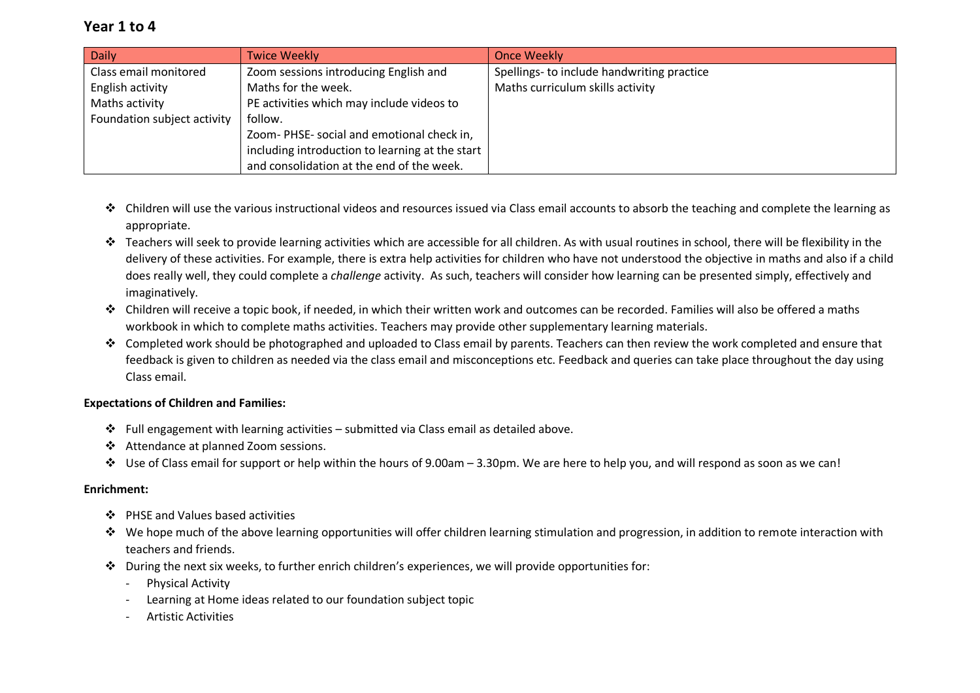## **Year 1 to 4**

| <b>Daily</b>                | <b>Twice Weekly</b>                             | Once Weekly                                |
|-----------------------------|-------------------------------------------------|--------------------------------------------|
| Class email monitored       | Zoom sessions introducing English and           | Spellings- to include handwriting practice |
| English activity            | Maths for the week.                             | Maths curriculum skills activity           |
| Maths activity              | PE activities which may include videos to       |                                            |
| Foundation subject activity | follow.                                         |                                            |
|                             | Zoom-PHSE-social and emotional check in,        |                                            |
|                             | including introduction to learning at the start |                                            |
|                             | and consolidation at the end of the week.       |                                            |

- ◆ Children will use the various instructional videos and resources issued via Class email accounts to absorb the teaching and complete the learning as appropriate.
- Teachers will seek to provide learning activities which are accessible for all children. As with usual routines in school, there will be flexibility in the delivery of these activities. For example, there is extra help activities for children who have not understood the objective in maths and also if a child does really well, they could complete a *challenge* activity. As such, teachers will consider how learning can be presented simply, effectively and imaginatively.
- Children will receive a topic book, if needed, in which their written work and outcomes can be recorded. Families will also be offered a maths workbook in which to complete maths activities. Teachers may provide other supplementary learning materials.
- Completed work should be photographed and uploaded to Class email by parents. Teachers can then review the work completed and ensure that feedback is given to children as needed via the class email and misconceptions etc. Feedback and queries can take place throughout the day using Class email.

## **Expectations of Children and Families:**

- Full engagement with learning activities submitted via Class email as detailed above.
- Attendance at planned Zoom sessions.
- Use of Class email for support or help within the hours of 9.00am 3.30pm. We are here to help you, and will respond as soon as we can!

## **Enrichment:**

- ❖ PHSE and Values based activities
- We hope much of the above learning opportunities will offer children learning stimulation and progression, in addition to remote interaction with teachers and friends.
- $\cdot$  During the next six weeks, to further enrich children's experiences, we will provide opportunities for:
	- Physical Activity
	- Learning at Home ideas related to our foundation subject topic
	- Artistic Activities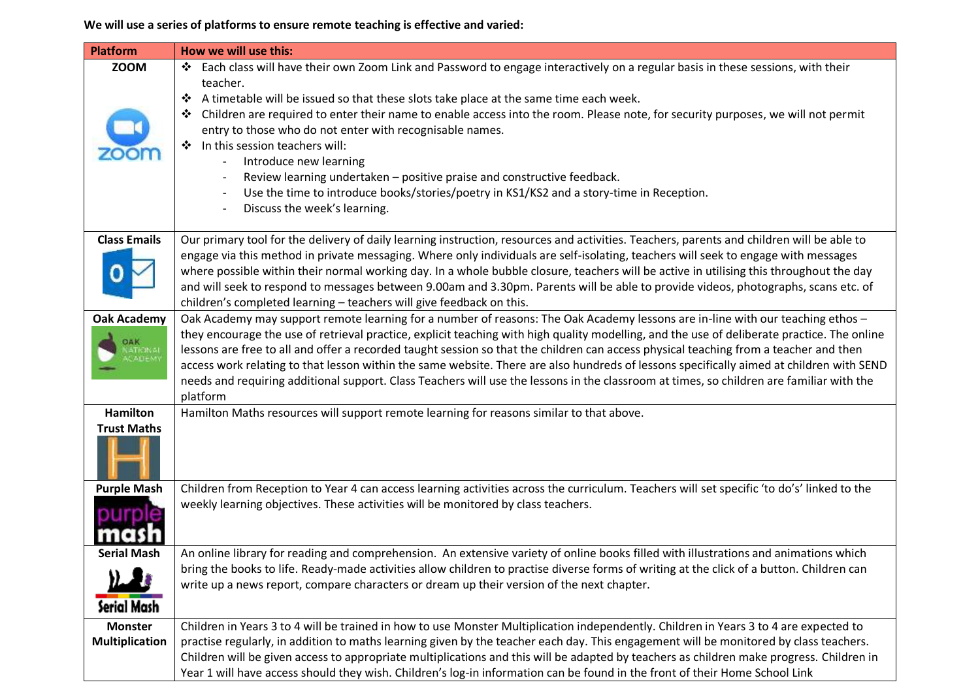**We will use a series of platforms to ensure remote teaching is effective and varied:**

| <b>Platform</b>       | How we will use this:                                                                                                                       |
|-----------------------|---------------------------------------------------------------------------------------------------------------------------------------------|
| <b>ZOOM</b>           | ❖ Each class will have their own Zoom Link and Password to engage interactively on a regular basis in these sessions, with their            |
|                       | teacher.                                                                                                                                    |
|                       | A timetable will be issued so that these slots take place at the same time each week.                                                       |
|                       | Children are required to enter their name to enable access into the room. Please note, for security purposes, we will not permit            |
|                       | entry to those who do not enter with recognisable names.                                                                                    |
|                       | In this session teachers will:                                                                                                              |
|                       | Introduce new learning                                                                                                                      |
|                       | Review learning undertaken - positive praise and constructive feedback.                                                                     |
|                       | Use the time to introduce books/stories/poetry in KS1/KS2 and a story-time in Reception.                                                    |
|                       | Discuss the week's learning.                                                                                                                |
| <b>Class Emails</b>   | Our primary tool for the delivery of daily learning instruction, resources and activities. Teachers, parents and children will be able to   |
|                       | engage via this method in private messaging. Where only individuals are self-isolating, teachers will seek to engage with messages          |
|                       | where possible within their normal working day. In a whole bubble closure, teachers will be active in utilising this throughout the day     |
|                       | and will seek to respond to messages between 9.00am and 3.30pm. Parents will be able to provide videos, photographs, scans etc. of          |
|                       | children's completed learning - teachers will give feedback on this.                                                                        |
| <b>Oak Academy</b>    | Oak Academy may support remote learning for a number of reasons: The Oak Academy lessons are in-line with our teaching ethos -              |
| <b>OAK</b>            | they encourage the use of retrieval practice, explicit teaching with high quality modelling, and the use of deliberate practice. The online |
| じんロモノ                 | lessons are free to all and offer a recorded taught session so that the children can access physical teaching from a teacher and then       |
|                       | access work relating to that lesson within the same website. There are also hundreds of lessons specifically aimed at children with SEND    |
|                       | needs and requiring additional support. Class Teachers will use the lessons in the classroom at times, so children are familiar with the    |
|                       | platform                                                                                                                                    |
| <b>Hamilton</b>       | Hamilton Maths resources will support remote learning for reasons similar to that above.                                                    |
| <b>Trust Maths</b>    |                                                                                                                                             |
|                       |                                                                                                                                             |
| <b>Purple Mash</b>    | Children from Reception to Year 4 can access learning activities across the curriculum. Teachers will set specific 'to do's' linked to the  |
|                       | weekly learning objectives. These activities will be monitored by class teachers.                                                           |
|                       |                                                                                                                                             |
|                       |                                                                                                                                             |
| <b>Serial Mash</b>    | An online library for reading and comprehension. An extensive variety of online books filled with illustrations and animations which        |
|                       | bring the books to life. Ready-made activities allow children to practise diverse forms of writing at the click of a button. Children can   |
|                       | write up a news report, compare characters or dream up their version of the next chapter.                                                   |
| Serial Mash           |                                                                                                                                             |
| <b>Monster</b>        | Children in Years 3 to 4 will be trained in how to use Monster Multiplication independently. Children in Years 3 to 4 are expected to       |
| <b>Multiplication</b> | practise regularly, in addition to maths learning given by the teacher each day. This engagement will be monitored by class teachers.       |
|                       | Children will be given access to appropriate multiplications and this will be adapted by teachers as children make progress. Children in    |
|                       | Year 1 will have access should they wish. Children's log-in information can be found in the front of their Home School Link                 |